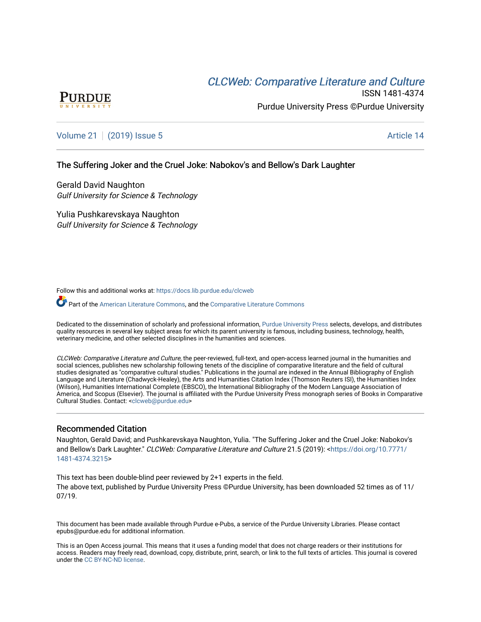# CLCW[eb: Comparative Liter](https://docs.lib.purdue.edu/clcweb)ature and Culture



ISSN 1481-4374 Purdue University Press ©Purdue University

## [Volume 21](https://docs.lib.purdue.edu/clcweb/vol21) | [\(2019\) Issue 5](https://docs.lib.purdue.edu/clcweb/vol21/iss5) Article 14

## The Suffering Joker and the Cruel Joke: Nabokov's and Bellow's Dark Laughter

Gerald David Naughton Gulf University for Science & Technology

Yulia Pushkarevskaya Naughton Gulf University for Science & Technology

Follow this and additional works at: [https://docs.lib.purdue.edu/clcweb](https://docs.lib.purdue.edu/clcweb?utm_source=docs.lib.purdue.edu%2Fclcweb%2Fvol21%2Fiss5%2F14&utm_medium=PDF&utm_campaign=PDFCoverPages)

**Part of the [American Literature Commons,](http://network.bepress.com/hgg/discipline/441?utm_source=docs.lib.purdue.edu%2Fclcweb%2Fvol21%2Fiss5%2F14&utm_medium=PDF&utm_campaign=PDFCoverPages) and the Comparative Literature Commons** 

Dedicated to the dissemination of scholarly and professional information, [Purdue University Press](http://www.thepress.purdue.edu/) selects, develops, and distributes quality resources in several key subject areas for which its parent university is famous, including business, technology, health, veterinary medicine, and other selected disciplines in the humanities and sciences.

CLCWeb: Comparative Literature and Culture, the peer-reviewed, full-text, and open-access learned journal in the humanities and social sciences, publishes new scholarship following tenets of the discipline of comparative literature and the field of cultural studies designated as "comparative cultural studies." Publications in the journal are indexed in the Annual Bibliography of English Language and Literature (Chadwyck-Healey), the Arts and Humanities Citation Index (Thomson Reuters ISI), the Humanities Index (Wilson), Humanities International Complete (EBSCO), the International Bibliography of the Modern Language Association of America, and Scopus (Elsevier). The journal is affiliated with the Purdue University Press monograph series of Books in Comparative Cultural Studies. Contact: [<clcweb@purdue.edu](mailto:clcweb@purdue.edu)>

## Recommended Citation

Naughton, Gerald David; and Pushkarevskaya Naughton, Yulia. "The Suffering Joker and the Cruel Joke: Nabokov's and Bellow's Dark Laughter." CLCWeb: Comparative Literature and Culture 21.5 (2019): [<https://doi.org/10.7771/](https://doi.org/10.7771/1481-4374.3215) [1481-4374.3215](https://doi.org/10.7771/1481-4374.3215)>

This text has been double-blind peer reviewed by 2+1 experts in the field. The above text, published by Purdue University Press ©Purdue University, has been downloaded 52 times as of 11/ 07/19.

This document has been made available through Purdue e-Pubs, a service of the Purdue University Libraries. Please contact epubs@purdue.edu for additional information.

This is an Open Access journal. This means that it uses a funding model that does not charge readers or their institutions for access. Readers may freely read, download, copy, distribute, print, search, or link to the full texts of articles. This journal is covered under the [CC BY-NC-ND license.](https://creativecommons.org/licenses/by-nc-nd/4.0/)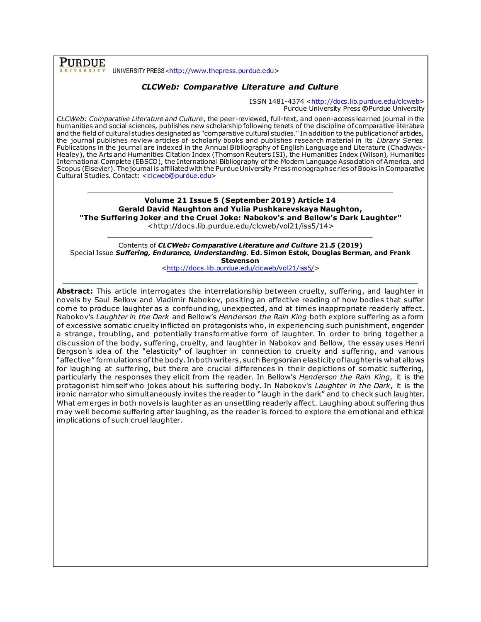**PURDUE** UNIVERSITY PRESS <[http://www.thepress.purdue.edu](http://www.thepress.purdue.edu/)>

## *CLCWeb: Comparative Literature and Culture*

ISSN 1481-4374 [<http://docs.lib.purdue.edu/clcweb>](http://docs.lib.purdue.edu/clcweb) Purdue University Press **©**Purdue University

*CLCWeb: Comparative Literature and Culture*, the peer-reviewed, full-text, and open-access learned journal in the humanities and social sciences, publishes new scholarship following tenets of the discipline of comparative literature and the field of cultural studies designated as "comparative cultural studies." In addition to the publication of articles, the journal publishes review articles of scholarly books and publishes research material in its *Library Series.*  Publications in the journal are indexed in the Annual Bibliography of English Language and Literature (Chadwyck-Healey), the Arts and Humanities Citation Index (Thomson Reuters ISI), the Humanities Index (Wilson), Humanities International Complete (EBSCO), the International Bibliography of the Modern Language Association of America, and Scopus (Elsevier). The journal is affiliated with the Purdue University Press monograph series of Books in Comparative Cultural Studies. Contact: [<clcweb@purdue.edu>](mailto:clcweb@purdue.edu)

**Volume 21 Issue 5 (September 2019) Article 14 Gerald David Naughton and Yulia Pushkarevskaya Naughton, "The Suffering Joker and the Cruel Joke: Nabokov's and Bellow's Dark Laughter"**

<http://docs.lib.purdue.edu/clcweb/vol21/iss5/14>

Contents of *CLCWeb: Comparative Literature and Culture* **21.5 (2019)** Special Issue *Suffering, Endurance, Understanding*. **Ed. Simon Estok, Douglas Berman, and Frank Stevenson**

[<http://docs.lib.purdue.edu/clcweb/vol21/iss5/>](http://docs.lib.purdue.edu/clcweb/vol21/iss5/)

**Abstract:** This article interrogates the interrelationship between cruelty, suffering, and laughter in novels by Saul Bellow and Vladimir Nabokov, positing an affective reading of how bodies that suffer come to produce laughter as a confounding, unexpected, and at times inappropriate readerly affect. Nabokov's *Laughter in the Dark* and Bellow's *Henderson the Rain King* both explore suffering as a form of excessive somatic cruelty inflicted on protagonists who, in experiencing such punishment, engender a strange, troubling, and potentially transformative form of laughter. In order to bring together a discussion of the body, suffering, cruelty, and laughter in Nabokov and Bellow, the essay uses Henri Bergson's idea of the "elasticity" of laughter in connection to cruelty and suffering, and various "affective" formulations of the body. In both writers, such Bergsonian elasticity of laughter is what allows for laughing at suffering, but there are crucial differences in their depictions of somatic suffering, particularly the responses they elicit from the reader. In Bellow's *Henderson the Rain King*, it is the protagonist him self who jokes about his suffering body. In Nabokov's *Laughter in the Dark*, it is the ironic narrator who simultaneously invites the reader to "laugh in the dark" and to check such laughter. What emerges in both novels is laughter as an unsettling readerly affect. Laughing about suffering thus may well become suffering after laughing, as the reader is forced to explore the emotional and ethical implications of such cruel laughter.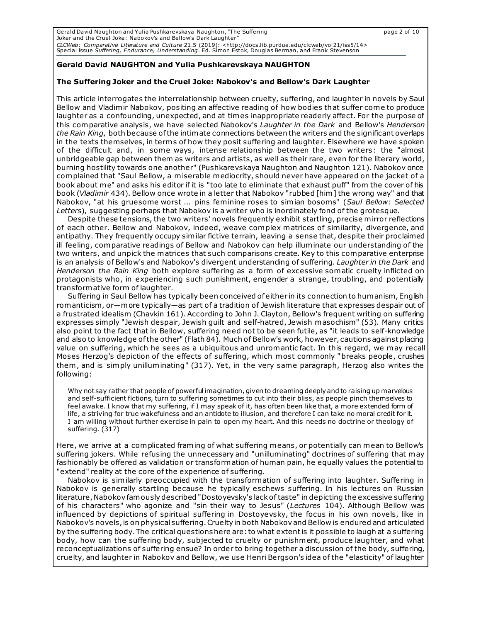Gerald David Naughton and Yulia Pushkarevskaya Naughton, "The Suffering page 2 of 10 Joker and the Cruel Joke: Nabokov's and Bellow's Dark Laughter" *CLCWeb: Comparative Literature and Culture* 21.5 (2019): <http://docs.lib.purdue.edu/clcweb/vol21/iss5/14><br>Special Issue *Suffering, Endurance, Understanding*. Ed. Simon Estok, Douglas Berman, and Frank Stevenson

## **Gerald David NAUGHTON and Yulia Pushkarevskaya NAUGHTON**

#### **The Suffering Joker and the Cruel Joke: Nabokov's and Bellow's Dark Laughter**

This article interrogates the interrelationship between cruelty, suffering, and laughter in novels by Saul Bellow and Vladimir Nabokov, positing an affective reading of how bodies that suffer come to produce laughter as a confounding, unexpected, and at times inappropriate readerly affect. For the purpose of this comparative analysis, we have selected Nabokov's *Laughter in the Dark* and Bellow's *Henderson the Rain King*, both because ofthe intimate connections between the writers and the significant overlaps in the texts themselves, in terms of how they posit suffering and laughter. Elsewhere we have spoken of the difficult and, in some ways, intense relationship between the two writers : the "almost unbridgeable gap between them as writers and artists, as well as their rare, even for the literary world, burning hostility towards one another" (Pushkarevskaya Naughton and Naughton 121). Nabokov once complained that "Saul Bellow, a miserable mediocrity, should never have appeared on the jacket of a book about me" and asks his editor if it is "too late to eliminate that exhaust puff" from the cover of his book (*Vladimir* 434). Bellow once wrote in a letter that Nabokov "rubbed [him] the wrong way" and that Nabokov, "at his gruesome worst ... pins feminine roses to simian bosoms" (*Saul Bellow: Selected Letters*), suggesting perhaps that Nabokov is a writer who is inordinately fond of the grotesque.

Despite these tensions, the two writers' novels frequently exhibit startling, precise mirror reflections of each other. Bellow and Nabokov, indeed, weave complex matrices of similarity, divergence, and antipathy. They frequently occupy similar fictive terrain, leaving a sense that, despite their proclaimed ill feeling, comparative readings of Bellow and Nabokov can help illuminate our understanding of the two writers, and unpick the matrices that such comparisons create. Key to this comparative enterprise is an analysis of Bellow's and Nabokov's divergent understanding of suffering. *Laughter in the Dark* and *Henderson the Rain King* both explore suffering as a form of excessive somatic cruelty inflicted on protagonists who, in experiencing such punishment, engender a strange, troubling, and potentially transformative form of laughter.

Suffering in Saul Bellow has typically been conceived of either in its connection to humanism, English romanticism, or—more typically—as part of a tradition of Jewish literature that expresses despair out of a frustrated idealism (Chavkin 161). According to John J. Clayton, Bellow's frequent writing on suffering expresses simply "Jewish despair, Jewish guilt and self-hatred, Jewish masochism" (53). Many critics also point to the fact that in Bellow, suffering need not to be seen futile, as "it leads to self-knowledge and also to knowledge of the other" (Flath 84). Much of Bellow's work, however, cautions against placing value on suffering, which he sees as a ubiquitous and unromantic fact. In this regard, we may recall Moses Herzog's depiction of the effects of suffering, which most commonly "breaks people, crushes them , and is simply unilluminating" (317). Yet, in the very same paragraph, Herzog also writes the following:

Why not say rather that people of powerful imagination, given to dreaming deeply and to raising up marvelous and self-sufficient fictions, turn to suffering sometimes to cut into their bliss, as people pinch themselves to feel awake. I know that my suffering, if I may speak of it, has often been like that, a more extended form of life, a striving for true wakefulness and an antidote to illusion, and therefore I can take no moral credit for it. I am willing without further exercise in pain to open my heart. And this needs no doctrine or theology of suffering. (317)

Here, we arrive at a complicated framing of what suffering means, or potentially can mean to Bellow's suffering jokers. While refusing the unnecessary and "unilluminating" doctrines of suffering that may fashionably be offered as validation or transformation of human pain, he equally values the potential to "extend" reality at the core of the experience of suffering.

Nabokov is similarly preoccupied with the transformation of suffering into laughter. Suffering in Nabokov is generally startling because he typically eschews suffering. In his lectures on Russian literature, Nabokov famously described "Dostoyevsky's lack of taste" in depicting the excessive suffering of his characters" who agonize and "sin their way to Jesus" (*Lectures* 104). Although Bellow was influenced by depictions of spiritual suffering in Dostoyevsky, the focus in his own novels, like in Nabokov's novels, is on physical suffering. Cruelty in both Nabokov and Bellow is endured and articulated by the suffering body. The critical questions here are: to what extent is it possible to laugh at a suffering body, how can the suffering body, subjected to cruelty or punishment, produce laughter, and what reconceptualizations of suffering ensue? In order to bring together a discussion of the body, suffering, cruelty, and laughter in Nabokov and Bellow, we use Henri Bergson's idea of the "elasticity" of laughter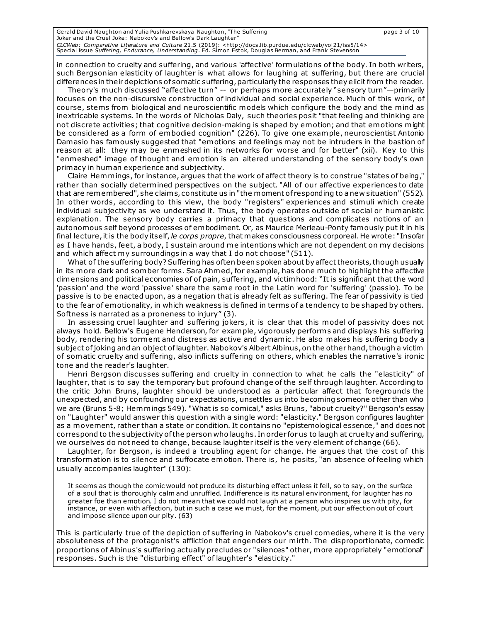| Gerald David Naughton and Yulia Pushkarevskaya Naughton, "The Suffering                                                         | page 3 of 10 |
|---------------------------------------------------------------------------------------------------------------------------------|--------------|
| Joker and the Cruel Joke: Nabokoy's and Bellow's Dark Laughter"                                                                 |              |
| CLCWeb: Comparative Literature and Culture 21.5 (2019): <http: 14="" clcweb="" docs.lib.purdue.edu="" iss5="" vol21=""></http:> |              |
| Special Issue Suffering, Endurance, Understanding. Ed. Simon Estok, Douglas Berman, and Frank Stevenson                         |              |

in connection to cruelty and suffering, and various 'affective' formulations of the body. In both writers, such Bergsonian elasticity of laughter is what allows for laughing at suffering, but there are crucial differences in their depictions of somatic suffering, particularly the responses they elicit from the reader.

Theory's much discussed "affective turn" -- or perhaps more accurately "sensory turn"—primarily focuses on the non-discursive construction of individual and social experience. Much of this work, of course, stems from biological and neuroscientific models which configure the body and the mind as inextricable systems. In the words of Nicholas Daly, such theories posit "that feeling and thinking are not discrete activities; that cognitive decision-making is shaped by emotion; and that emotions might be considered as a form of embodied cognition" (226). To give one example, neuroscientist Antonio Damasio has famously suggested that "emotions and feelings may not be intruders in the bastion of reason at all: they may be enmeshed in its networks for worse and for better" (xii). Key to this "enmeshed" image of thought and emotion is an altered understanding of the sensory body's own primacy in human experience and subjectivity.

Claire Hemmings, for instance, argues that the work of affect theory is to construe "states of being," rather than socially determined perspectives on the subject. "All of our affective experiences to date that are remembered", she claim s, constitute us in "the moment of responding to a new situation" (552). In other words, according to this view, the body "registers" experiences and stimuli which create individual subjectivity as we understand it. Thus, the body operates outside of social or humanistic explanation. The sensory body carries a primacy that questions and complicates notions of an autonomous self beyond processes of embodiment. Or, as Maurice Merleau-Ponty famously put it in his final lecture, it is the body itself, *le corps propre*, that makes consciousness corporeal. He wrote: "Insofar as I have hands, feet, a body, I sustain around me intentions which are not dependent on my decisions and which affect my surroundings in a way that I do not choose" (511).

What of the suffering body? Suffering has often been spoken about by affect theorists, though usually in its more dark and somber forms. Sara Ahmed, for example, has done much to highlight the affective dimensions and political economies of of pain, suffering, and victimhood: "It is significant that the word 'passion' and the word 'passive' share the same root in the Latin word for 'suffering' (passio). To be passive is to be enacted upon, as a negation that is already felt as suffering. The fear of passivity is tied to the fear of emotionality, in which weakness is defined in terms of a tendency to be shaped by others. Softness is narrated as a proneness to injury" (3).

In assessing cruel laughter and suffering jokers, it is clear that this model of passivity does not always hold. Bellow's Eugene Henderson, for example, vigorously perform s and displays his suffering body, rendering his torment and distress as active and dynamic . He also makes his suffering body a subject of joking and an object of laughter. Nabokov's Albert Albinus, on the other hand, though a victim of somatic cruelty and suffering, also inflicts suffering on others, which enables the narrative's ironic tone and the reader's laughter.

Henri Bergson discusses suffering and cruelty in connection to what he calls the "elasticity" of laughter, that is to say the temporary but profound change of the self through laughter. According to the critic John Bruns, laughter should be understood as a particular affect that foregrounds the unexpected, and by confounding our expectations, unsettles us into becoming someone other than who we are (Bruns 5-8; Hemmings 549). "What is so comical," asks Bruns, "about cruelty?" Bergson's essay on "Laughter" would answer this question with a single word: "elasticity." Bergson configures laughter as a movement, rather than a state or condition. It contains no "epistemological essence," and does not correspond to the subjectivity of the person who laughs. In order for us to laugh at cruelty and suffering, we ourselves do not need to change, because laughter itself is the very element of change (66).

Laughter, for Bergson, is indeed a troubling agent for change. He argues that the cost of this transformation is to silence and suffocate emotion. There is, he posits, "an absence of feeling which usually accompanies laughter" (130):

It seems as though the comic would not produce its disturbing effect unless it fell, so to say, on the surface of a soul that is thoroughly calm and unruffled. Indifference is its natural environment, for laughter has no greater foe than emotion. I do not mean that we could not laugh at a person who inspires us with pity, for instance, or even with affection, but in such a case we must, for the moment, put our affection out of court and impose silence upon our pity. (63)

This is particularly true of the depiction of suffering in Nabokov's cruel comedies, where it is the very absoluteness of the protagonist's affliction that engenders our mirth. The disproportionate, comedic proportions of Albinus's suffering actually precludes or "silences" other, more appropriately "emotional" responses. Such is the "disturbing effect" of laughter's "elasticity."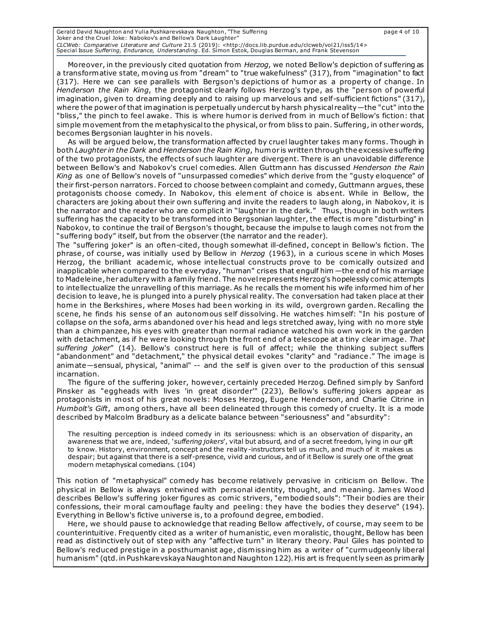Gerald David Naughton and Yulia Pushkarevskaya Naughton, "The Suffering page 4 of 10 Joker and the Cruel Joke: Nabokov's and Bellow's Dark Laughter" *CLCWeb: Comparative Literature and Culture* 21.5 (2019): <http://docs.lib.purdue.edu/clcweb/vol21/iss5/14><br>Special Issue *Suffering, Endurance, Understanding*. Ed. Simon Estok, Douglas Berman, and Frank Stevenson

Moreover, in the previously cited quotation from *Herzog*, we noted Bellow's depiction of suffering as a transformative state, moving us from "dream" to "true wakefulness" (317), from "imagination" to fact (317). Here we can see parallels with Bergson's depictions of humor as a property of change. In *Henderson the Rain King*, the protagonist clearly follows Herzog's type, as the "person of powerful imagination, given to dreaming deeply and to raising up marvelous and self-sufficient fictions" (317), where the power of that imagination is perpetually undercut by harsh physical reality—the "cut" into the "bliss," the pinch to feel awake. This is where humor is derived from in much of Bellow's fiction: that simple movement from the metaphysical to the physical, or from bliss to pain. Suffering, in other words, becomes Bergsonian laughter in his novels.

As will be argued below, the transformation affected by cruel laughter takes many forms. Though in both *Laughter in the Dark* and *Henderson the Rain King*, humor is written through the excessive suffering of the two protagonists, the effects of such laughter are divergent. There is an unavoidable difference between Bellow's and Nabokov's cruel comedies. Allen Guttmann has discussed *Henderson the Rain King* as one of Bellow's novels of "unsurpassed comedies" which derive from the "gusty eloquence" of their first-person narrators. Forced to choose between complaint and comedy, Guttmann argues, these protagonists choose comedy. In Nabokov, this element of choice is abs ent. While in Bellow, the characters are joking about their own suffering and invite the readers to laugh along, in Nabokov, it is the narrator and the reader who are complicit in "laughter in the dark." Thus, though in both writers suffering has the capacity to be transformed into Bergsonian laughter, the effect is more "disturbing" in Nabokov, to continue the trail of Bergson's thought, because the impulse to laugh comes not from the "suffering body" itself, but from the observer (the narrator and the reader).

The "suffering joker" is an often-cited, though somewhat ill-defined, concept in Bellow's fiction. The phrase, of course, was initially used by Bellow in *Herzog* (1963), in a curious scene in which Moses Herzog, the brilliant academic, whose intellectual constructs prove to be comically outsized and inapplicable when compared to the everyday, "human" crises that engulf him —the end of his marriage to Madeleine, her adultery with a family friend. The novel represents Herzog's hopelessly comic attempts to intellectualize the unravelling of this marriage. As he recalls the moment his wife informed him of her decision to leave, he is plunged into a purely physical reality. The conversation had taken place at their home in the Berkshires, where Moses had been working in its wild, overgrown garden. Recalling the scene, he finds his sense of an autonomous self dissolving. He watches him self: "In his posture of collapse on the sofa, arm s abandoned over his head and legs stretched away, lying with no more style than a chimpanzee, his eyes with greater than normal radiance watched his own work in the garden with detachment, as if he were looking through the front end of a telescope at a tiny clear image. *That suffering joker*" (14). Bellow's construct here is full of affect; while the thinking subject suffers "abandonment" and "detachment," the physical detail evokes "clarity" and "radiance." The image is animate—sensual, physical, "animal" -- and the self is given over to the production of this sensual incarnation.

The figure of the suffering joker, however, certainly preceded Herzog. Defined simply by Sanford Pinsker as "eggheads with lives 'in great disorder'" (223), Bellow's suffering jokers appear as protagonists in most of his great novels: Moses Herzog, Eugene Henderson, and Charlie Citrine in *Humbolt's Gift*, among others, have all been delineated through this comedy of cruelty. It is a mode described by Malcolm Bradbury as a delicate balance between "seriousness" and "absurdity":

The resulting perception is indeed comedy in its seriousness: which is an observation of disparity, an awareness that we are, indeed, '*suffering jokers*', vital but absurd, and of a secret freedom, lying in our gift to know. History, environment, concept and the reality-instructors tell us much, and much of it makes us despair; but against that there is a self-presence, vivid and curious, and of it Bellow is surely one of the great modern metaphysical comedians. (104)

This notion of "metaphysical" comedy has become relatively pervasive in criticism on Bellow. The physical in Bellow is always entwined with personal identity, thought, and meaning. James Wood describes Bellow's suffering joker figures as comic strivers, "embodied souls": "Their bodies are their confessions, their moral camouflage faulty and peeling: they have the bodies they deserve" (194). Everything in Bellow's fictive universe is, to a profound degree, embodied.

Here, we should pause to acknowledge that reading Bellow affectively, of course, may seem to be counterintuitive. Frequently cited as a writer of humanistic, even moralistic, thought, Bellow has been read as distinctively out of step with any "affective turn" in literary theory. Paul Giles has pointed to Bellow's reduced prestige in a posthumanist age, dismissing him as a writer of "curmudgeonly liberal humanism" (qtd. in Pushkarevskaya Naughton and Naughton 122). His art is frequently seen as primarily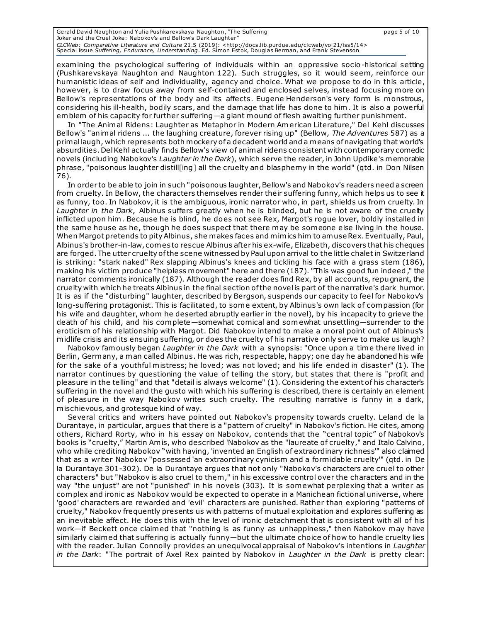Gerald David Naughton and Yulia Pushkarevskaya Naughton, "The Suffering page 5 of 10 Joker and the Cruel Joke: Nabokov's and Bellow's Dark Laughter" *CLCWeb: Comparative Literature and Culture* 21.5 (2019): <http://docs.lib.purdue.edu/clcweb/vol21/iss5/14><br>Special Issue *Suffering, Endurance, Understanding*. Ed. Simon Estok, Douglas Berman, and Frank Stevenson

examining the psychological suffering of individuals within an oppressive socio -historical setting (Pushkarevskaya Naughton and Naughton 122). Such struggles, so it would seem, reinforce our humanistic ideas of self and individuality, agency and choice. What we propose to do in this article, however, is to draw focus away from self-contained and enclosed selves, instead focusing more on Bellow's representations of the body and its affects. Eugene Henderson's very form is monstrous, considering his ill-health, bodily scars, and the damage that life has done to him . It is also a powerful emblem of his capacity for further suffering—a giant mound of flesh awaiting further punishment.

In "The Animal Ridens: Laughter as Metaphor in Modern American Literature," Del Kehl discusses Bellow's "animal ridens ... the laughing creature, forever rising up" (Bellow, *The Adventures* 587) as a primal laugh, which represents both mockery of a decadent world and a means of navigating that world's absurdities. Del Kehl actually finds Bellow's view of animal ridens consistent with contemporary comedic novels (including Nabokov's *Laughter in the Dark*), which serve the reader, in John Updike's memorable phrase, "poisonous laughter distill[ing] all the cruelty and blasphemy in the world" (qtd. in Don Nilsen 76).

.<br>In order to be able to join in such "poisonous laughter, Bellow's and Nabokov's readers need a screen from cruelty. In Bellow, the characters themselves render their suffering funny, which helps us to see it as funny, too. In Nabokov, it is the ambiguous, ironic narrator who, in part, shields us from cruelty. In *Laughter in the Dark*, Albinus suffers greatly when he is blinded, but he is not aware of the cruelty inflicted upon him . Because he is blind, he does not see Rex, Margot's rogue lover, boldly installed in the same house as he, though he does suspect that there may be someone else living in the house. When Margot pretends to pity Albinus, she makes faces and mimics him to amuse Rex. Eventually, Paul, Albinus's brother-in-law, comes to rescue Albinus after his ex-wife, Elizabeth, discovers that his cheques are forged. The utter cruelty of the scene witnessed by Paul upon arrival to the little chalet in Switzerland is striking: "stark naked" Rex slapping Albinus's knees and tickling his face with a grass stem (186), making his victim produce "helpless movement" here and there (187). "This was good fun indeed," the narrator comments ironically (187). Although the reader does find Rex, by all accounts, repugnant, the cruelty with which he treats Albinus in the final section of the novel is part of the narrative's dark humor. It is as if the "disturbing" laughter, described by Bergson, suspends our capacity to feel for Nabokov's long-suffering protagonist. This is facilitated, to some extent, by Albinus's own lack of compassion (for his wife and daughter, whom he deserted abruptly earlier in the novel), by his incapacity to grieve the death of his child, and his complete—somewhat comical and somewhat unsettling—surrender to the eroticism of his relationship with Margot. Did Nabokov intend to make a moral point out of Albinus's midlife crisis and its ensuing suffering, or does the cruelty of his narrative only serve to make us laugh?

Nabokov famously began *Laughter in the Dark* with a synopsis: "Once upon a time there lived in Berlin, Germany, a man called Albinus. He was rich, respectable, happy; one day he abandoned his wife for the sake of a youthful mistress; he loved; was not loved; and his life ended in disaster" (1). The narrator continues by questioning the value of telling the story, but states that there is "profit and pleasure in the telling" and that "detail is always welcome" (1). Considering the extent of his character's suffering in the novel and the gusto with which his suffering is described, there is certainly an element of pleasure in the way Nabokov writes such cruelty. The resulting narrative is funny in a dark, mischievous, and grotesque kind of way.

Several critics and writers have pointed out Nabokov's propensity towards cruelty. Leland de la Durantaye, in particular, argues that there is a "pattern of cruelty" in Nabokov's fiction. He cites, among others, Richard Rorty, who in his essay on Nabokov, contends that the "central topic" of Nabokov's books is "cruelty," Martin Amis, who described 'Nabokov as the "laureate of cruelty," and Italo Calvino, who while crediting Nabokov "with having, 'invented an English of extraordinary richness'" also claimed that as a writer Nabokov "possessed 'an extraordinary cynicism and a formidable cruelty'" (qtd. in De la Durantaye 301-302). De la Durantaye argues that not only "Nabokov's characters are cruel to other characters" but "Nabokov is also cruel to them," in his excessive control over the characters and in the way "the unjust" are not "punished" in his novels (303). It is somewhat perplexing that a writer as complex and ironic as Nabokov would be expected to operate in a Manichean fictional universe, where 'good' characters are rewarded and 'evil' characters are punished. Rather than exploring "patterns of cruelty," Nabokov frequently presents us with patterns of mutual exploitation and explores suffering as an inevitable affect. He does this with the level of ironic detachment that is cons istent with all of his work—if Beckett once claimed that "nothing is as funny as unhappiness," then Nabokov may have similarly claimed that suffering is actually funny—but the ultimate choice of how to handle cruelty lies with the reader. Julian Connolly provides an unequivocal appraisal of Nabokov's intentions in *Laughter in the Dark*: "The portrait of Axel Rex painted by Nabokov in *Laughter in the Dark* is pretty clear: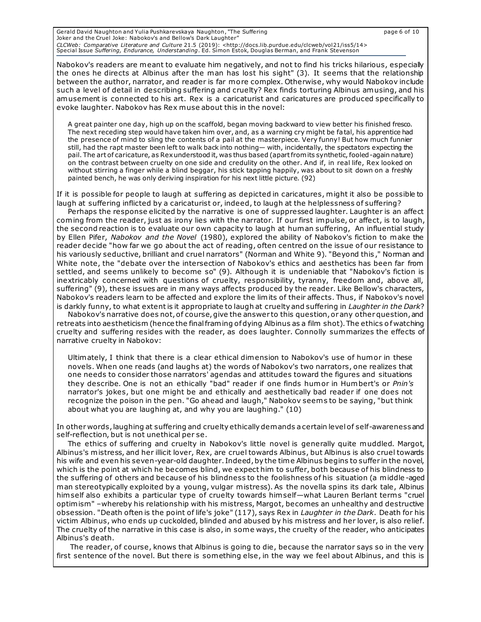Gerald David Naughton and Yulia Pushkarevskaya Naughton, "The Suffering page 6 of 10 Joker and the Cruel Joke: Nabokov's and Bellow's Dark Laughter" *CLCWeb: Comparative Literature and Culture* 21.5 (2019): <http://docs.lib.purdue.edu/clcweb/vol21/iss5/14><br>Special Issue *Suffering, Endurance, Understanding*. Ed. Simon Estok, Douglas Berman, and Frank Stevenson

Nabokov's readers are meant to evaluate him negatively, and not to find his tricks hilarious, especially the ones he directs at Albinus after the man has lost his sight" (3). It seems that the relationship between the author, narrator, and reader is far more complex. Otherwise, why would Nabokov include such a level of detail in describing suffering and cruelty? Rex finds torturing Albinus amusing, and his amusement is connected to his art. Rex is a caricaturist and caricatures are produced specifically to evoke laughter. Nabokov has Rex muse about this in the novel:

A great painter one day, high up on the scaffold, began moving backward to view better his finished fresco. The next receding step would have taken him over, and, as a warning cry might be fatal, his apprentice had the presence of mind to sling the contents of a pail at the masterpiece. Very funny! But how much funnier still, had the rapt master been left to walk back into nothing— with, incidentally, the spectators expecting the pail. The art of caricature, as Rex understood it, was thus based (apart from its synthetic, fooled-again nature) on the contrast between cruelty on one side and credulity on the other. And if, in real life, Rex looked on without stirring a finger while a blind beggar, his stick tapping happily, was about to sit down on a freshly painted bench, he was only deriving inspiration for his next little picture. (92)

If it is possible for people to laugh at suffering as depicted in caricatures, might it also be possible to laugh at suffering inflicted by a caricaturist or, indeed, to laugh at the helplessness of suffering?

Perhaps the response elicited by the narrative is one of suppressed laughter. Laughter is an affect coming from the reader, just as irony lies with the narrator. If our first impulse, or affect, is to laugh, the second reaction is to evaluate our own capacity to laugh at human suffering, An influential study by Ellen Pifer, *Nabokov and the Novel* (1980), explored the ability of Nabokov's fiction to make the reader decide "how far we go about the act of reading, often centred on the issue of our resistance to his variously seductive, brilliant and cruel narrators" (Norman and White 9). "Beyond this ," Norman and White note, the "debate over the intersection of Nabokov's ethics and aesthetics has been far from settled, and seems unlikely to become so" (9). Although it is undeniable that "Nabokov's fiction is inextricably concerned with questions of cruelty, responsibility, tyranny, freedom and, above all, suffering" (9), these issues are in many ways affects produced by the reader. Like Bellow's characters, Nabokov's readers learn to be affected and explore the limits of their affects. Thus, if Nabokov's novel is darkly funny, to what extent is it appropriate to laugh at cruelty and suffering in *Laughter in the Dark*?

Nabokov's narrative does not, of course, give the answer to this question, or any other question, and retreats into aestheticism (hence the final framing of dying Albinus as a film shot). The ethics o f watching cruelty and suffering resides with the reader, as does laughter. Connolly summarizes the effects of narrative cruelty in Nabokov:

Ultimately, I think that there is a clear ethical dimension to Nabokov's use of humor in these novels. When one reads (and laughs at) the words of Nabokov's two narrators, one realizes that one needs to consider those narrators' agendas and attitudes toward the figures and situations they describe. One is not an ethically "bad" reader if one finds humor in Humbert's or *Pnin's* narrator's jokes, but one might be and ethically and aesthetically bad reader if one does not recognize the poison in the pen. "Go ahead and laugh," Nabokov seem s to be saying, "but think about what you are laughing at, and why you are laughing." (10)

In other words, laughing at suffering and cruelty ethically demands a certain level of self-awareness and self-reflection, but is not unethical per se.

The ethics of suffering and cruelty in Nabokov's little novel is generally quite muddled. Margot, Albinus's mistress, and her illicit lover, Rex, are cruel towards Albinus, but Albinus is also cruel towards his wife and even his seven-year-old daughter. Indeed, by the time Albinus begins to suffer in the novel, which is the point at which he becomes blind, we expect him to suffer, both because of his blindness to the suffering of others and because of his blindness to the foolishness of his situation (a middle -aged man stereotypically exploited by a young, vulgar mistress). As the novella spins its dark tale, Albinus him self also exhibits a particular type of cruelty towards him self—what Lauren Berlant terms "cruel optimism" –whereby his relationship with his mistress, Margot, becomes an unhealthy and destructive obsession. "Death often is the point of life's joke" (117), says Rex in *Laughter in the Dark*. Death for his victim Albinus, who ends up cuckolded, blinded and abused by his mistress and her lover, is also relief. The cruelty of the narrative in this case is also, in some ways, the cruelty of the reader, who anticipates Albinus's death.

The reader, of course, knows that Albinus is going to die, because the narrator says so in the very first sentence of the novel. But there is something else, in the way we feel about Albinus, and this is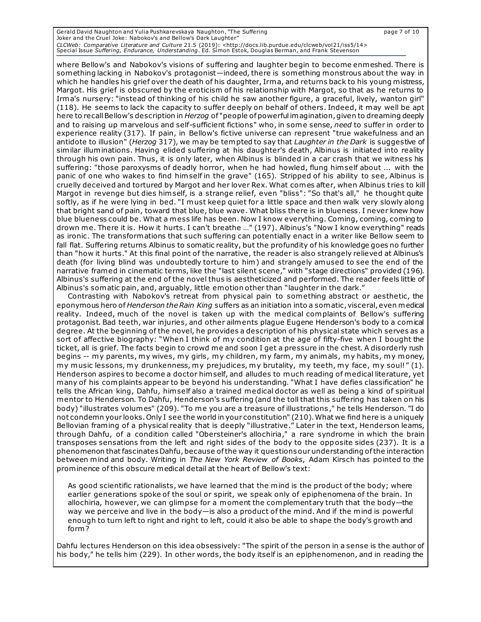Gerald David Naughton and Yulia Pushkarevskaya Naughton, "The Suffering page 7 of 10 Joker and the Cruel Joke: Nabokov's and Bellow's Dark Laughter" *CLCWeb: Comparative Literature and Culture* 21.5 (2019): <http://docs.lib.purdue.edu/clcweb/vol21/iss5/14><br>Special Issue *Suffering, Endurance, Understanding*. Ed. Simon Estok, Douglas Berman, and Frank Stevenson

where Bellow's and Nabokov's visions of suffering and laughter begin to become enmeshed. There is something lacking in Nabokov's protagonist—indeed, there is something monstrous about the way in which he handles his grief over the death of his daughter, Irma, and returns back to his young mistress, Margot. His grief is obscured by the eroticism of his relationship with Margot, so that as he returns to Irma's nursery: "instead of thinking of his child he saw another figure, a graceful, lively, wanton girl" (118). He seems to lack the capacity to suffer deeply on behalf of others. Indeed, it may well be apt here to recall Bellow's description in *Herzog* of "people of powerful imagination, given to dreaming deeply and to raising up marvelous and self-sufficient fictions" who, in some sense, *need* to suffer in order to experience reality (317). If pain, in Bellow's fictive universe can represent "true wakefulness and an antidote to illusion" (*Herzog* 317), we may be tempted to say that *Laughter in the Dark* is suggestive of similar illuminations. Having elided suffering at his daughter's death, Albinus is initiated into reality through his own pain. Thus, it is only later, when Albinus is blinded in a car crash that we witness his suffering: "those paroxysms of deadly horror, when he had howled, flung himself about ... with the panic of one who wakes to find him self in the grave" (165). Stripped of his ability to see, Albinus is cruelly deceived and tortured by Margot and her lover Rex. What comes after, when Albinus t ries to kill Margot in revenge but dies him self, is a strange relief, even "bliss": "So that's all," he thought quite softly, as if he were lying in bed. "I must keep quiet for a little space and then walk very slowly along that bright sand of pain, toward that blue, blue wave. What bliss there is in blueness. I never knew how blue blueness could be. What a mess life has been. Now I know everything. Coming, coming, coming to drown me. There it is. How it hurts. I can't breathe …" (197). Albinus's "Now I know everything" reads as ironic. The transformations that such suffering can potentially enact in a writer like Bellow seem to fall flat. Suffering returns Albinus to somatic reality, but the profundity of his knowledge goes no further than "how it hurts." At this final point of the narrative, the reader is also strangely relieved at Albinus's death (for living blind was undoubtedly torture to him) and strangely amused to see the end of the narrative framed in cinematic terms, like the "last silent scene," with "stage directions" provided (196). Albinus's suffering at the end of the novel thus is aestheticized and performed. The reader feels little of Albinus's somatic pain, and, arguably, little emotion other than "laughter in the dark."

Contrasting with Nabokov's retreat from physical pain to something abstract or aesthetic, the eponymous hero of *Henderson the Rain King* suffers as an initiation into a somatic, visceral, even medical reality. Indeed, much of the novel is taken up with the medical complaints of Bellow's suffering protagonist. Bad teeth, war injuries, and other ailments plague Eugene Henderson's body to a comical degree. At the beginning of the novel, he provides a description of his physical state which serves as a sort of affective biography: "When I think of my condition at the age of fifty-five when I bought the ticket, all is grief. The facts begin to crowd me and soon I get a pressure in the chest. A disorderly rush begins -- my parents, my wives, my girls, my children, my farm , my animals, my habits, my money, my music lessons, my drunkenness, my prejudices, my brutality, my teeth, my face, my soul! " (1). Henderson aspires to become a doctor him self, and alludes to much reading of medical literature, yet many of his complaints appear to be beyond his understanding. "What I have defies classification" he tells the African king, Dahfu, him self also a trained medical doctor as well as being a kind of spiritual mentor to Henderson. To Dahfu, Henderson's suffering (and the toll that this suffering has taken on his body) "illustrates volumes" (209). "To me you are a treasure of illustrations ," he tells Henderson. "I do not condemn your looks. Only I see the world in your constitution" (210). What we find here is a uniquely Bellovian framing of a physical reality that is deeply "illustrative." Later in the text, Henderson leams, through Dahfu, of a condition called "Obersteiner's allochiria," a rare syndrome in which the brain transposes sensations from the left and right sides of the body to the opposite sides (237). It is a phenomenon that fascinates Dahfu, because of the way it questions our understanding of the interaction between mind and body. Writing in *The New York Review of Books*, Adam Kirsch has pointed to the prominence of this obscure medical detail at the heart of Bellow's text:

As good scientific rationalists, we have learned that the mind is the product of the body; where earlier generations spoke of the soul or spirit, we speak only of epiphenomena of the brain. In allochiria, however, we can glimpse for a moment the complementary truth that the body—the way we perceive and live in the body—is also a product of the mind. And if the mind is powerful enough to turn left to right and right to left, could it also be able to shape the body's growth and form ?

Dahfu lectures Henderson on this idea obsessively: "The spirit of the person in a sense is the author of his body," he tells him (229). In other words, the body itself is an epiphenomenon, and in reading the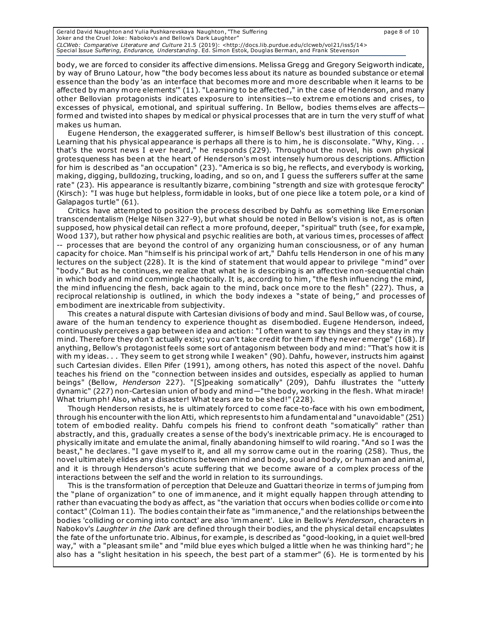Gerald David Naughton and Yulia Pushkarevskaya Naughton, "The Suffering page 8 of 10 Joker and the Cruel Joke: Nabokov's and Bellow's Dark Laughter" *CLCWeb: Comparative Literature and Culture* 21.5 (2019): <http://docs.lib.purdue.edu/clcweb/vol21/iss5/14><br>Special Issue *Suffering, Endurance, Understanding*. Ed. Simon Estok, Douglas Berman, and Frank Stevenson

body, we are forced to consider its affective dimensions. Melissa Gregg and Gregory Seigworth indicate, by way of Bruno Latour, how "the body becomes less about its nature as bounded substance or eternal essence than the body 'as an interface that becomes more and more describable when it learns to be affected by many more elements'" (11). "Learning to be affected," in the case of Henderson, and many other Bellovian protagonists indicates exposure to intensities—to extreme emotions and crises, to excesses of physical, emotional, and spiritual suffering. In Bellow, bodies thems elves are affects formed and twisted into shapes by medical or physical processes that are in turn the very stuff of what makes us human.

Eugene Henderson, the exaggerated sufferer, is him self Bellow's best illustration of this concept. Learning that his physical appearance is perhaps all there is to him, he is disconsolate. "Why, King.. that's the worst news I ever heard," he responds (229). Throughout the novel, his own physical grotesqueness has been at the heart of Henderson's most intensely humorous descriptions. Affliction for him is described as "an occupation" (23). "America is so big, he reflects, and everybody is working, making, digging, bulldozing, trucking, loading, and so on, and I guess the sufferers suffer at the same rate" (23). His appearance is resultantly bizarre, combining "strength and size with grotesque ferocity" (Kirsch): "I was huge but helpless, formidable in looks, but of one piece like a totem pole, or a kind of Galapagos turtle" (61).

Critics have attempted to position the process described by Dahfu as something like Emersonian transcendentalism (Helge Nilsen 327-9), but what should be noted in Bellow's vision is not, as is often supposed, how physical detail can reflect a more profound, deeper, "spiritual" truth (see, for example, Wood 137), but rather how physical and psychic realities are both, at various times, processes of affect -- processes that are beyond the control of any organizing human consciousness, or of any human capacity for choice. Man "him self is his principal work of art," Dahfu tells Henderson in one of his many lectures on the subject (228). It is the kind of statement that would appear to privilege "mind" over "body." But as he continues, we realize that what he is describing is an affective non-sequential chain in which body and mind commingle chaotically. It is, according to him , "the flesh influencing the mind, the mind influencing the flesh, back again to the mind, back once more to the flesh" (227). Thus, a reciprocal relationship is outlined, in which the body indexes a "state of being," and processes of embodiment are inextricable from subjectivity.

This creates a natural dispute with Cartesian divisions of body and mind. Saul Bellow was, of course, aware of the human tendency to experience thought as disembodied. Eugene Henderson, indeed, continuously perceives a gap between idea and action: "I often want to say things and they stay in my mind. Therefore they don't actually exist; you can't take credit for them if they never emerge" (168). If anything, Bellow's protagonist feels some sort of antagonism between body and mind: "That's how it is with my ideas. . . They seem to get strong while I weaken" (90). Dahfu, however, instructs him against such Cartesian divides. Ellen Pifer (1991), among others, has noted this aspect of the novel. Dahfu teaches his friend on the "connection between insides and outsides, especially as applied to human beings" (Bellow, *Henderson* 227). "[S]peaking somatically" (209), Dahfu illustrates the "utterly dynamic" (227) non-Cartesian union of body and mind—"the body, working in the flesh. What miracle! What triumph! Also, what a disaster! What tears are to be shed!" (228).

Though Henderson resists, he is ultimately forced to come face-to-face with his own embodiment, through his encounter with the lion Atti, which represents to him a fundamental and "unavoidable" (251) totem of embodied reality. Dahfu compels his friend to confront death "somatically" rather than abstractly, and this, gradually creates a sense of the body's inextricable primacy. He is encouraged to physically imitate and emulate the animal, finally abandoning himself to wild roaring. "And so I was the beast," he declares. "I gave myself to it, and all my sorrow came out in the roaring (258). Thus, the novel ultimately elides any distinctions between mind and body, soul and body, or human and animal, and it is through Henderson's acute suffering that we become aware of a complex process of the interactions between the self and the world in relation to its surroundings.

This is the transformation of perception that Deleuze and Guattari theorize in term s of jumping from the "plane of organization" to one of immanence, and it might equally happen through attending to rather than evacuating the body as affect, as "the variation that occurs when bodies collide or come into contact" (Colman 11). The bodies contain their fate as "immanence," and the relationships between the bodies 'colliding or coming into contact' are also 'immanent'. Like in Bellow's *Henderson*, characters in Nabokov's *Laughter in the Dark* are defined through their bodies, and the physical detail encapsulates the fate of the unfortunate trio. Albinus, for example, is described as "good-looking, in a quiet well-bred way," with a "pleasant smile" and "mild blue eyes which bulged a little when he was thinking hard"; he also has a "slight hesitation in his speech, the best part of a stammer" (6). He is tormented by his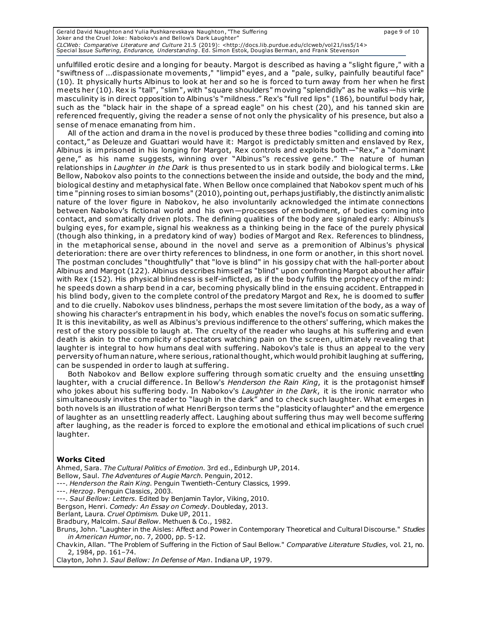| Gerald David Naughton and Yulia Pushkarevskaya Naughton, "The Suffering                                                         | page 9 of 10 |
|---------------------------------------------------------------------------------------------------------------------------------|--------------|
| Joker and the Cruel Joke: Nabokoy's and Bellow's Dark Laughter"                                                                 |              |
| CLCWeb: Comparative Literature and Culture 21.5 (2019): <http: 14="" clcweb="" docs.lib.purdue.edu="" iss5="" vol21=""></http:> |              |
| Special Issue Suffering, Endurance, Understanding. Ed. Simon Estok, Douglas Berman, and Frank Stevenson                         |              |

unfulfilled erotic desire and a longing for beauty. Margot is described as having a "slight figure," with a "swiftness of ...dispassionate movements," "limpid" eyes, and a "pale, sulky, painfully beautiful face" (10). It physically hurts Albinus to look at her and so he is forced to turn away from her when he first meets her (10). Rex is "tall", "slim", with "square shoulders" moving "splendidly" as he walks—his virile masculinity is in direct opposition to Albinus's "mildness." Rex's "full red lips" (186), bountiful body hair, such as the "black hair in the shape of a spread eagle" on his chest (20), and his tanned skin are referenced frequently, giving the reader a sense of not only the physicality of his presence, but also a sense of menace emanating from him .

All of the action and drama in the novel is produced by these three bodies "colliding and coming into contact," as Deleuze and Guattari would have it: Margot is predictably smitten and enslaved by Rex, Albinus is imprisoned in his longing for Margot, Rex controls and exploits both—"Rex," a "dominant gene," as his name suggests, winning over "Albinus''s recessive gene." The nature of human relationships in *Laughter in the Dark* is thus presented to us in stark bodily and biological terms. Like Bellow, Nabokov also points to the connections between the inside and outside, the body and the mind, biological destiny and metaphysical fate. When Bellow once complained that Nabokov spent much of his time "pinning roses to simian bosoms" (2010), pointing out, perhaps justifiably, the distinctly animalistic nature of the lover figure in Nabokov, he also involuntarily acknowledged the intimate connections between Nabokov's fictional world and his own—processes of embodiment, of bodies coming into contact, and somatically driven plots. The defining qualities of the body are signaled early: Albinus's bulging eyes, for example, signal his weakness as a thinking being in the face of the purely physical (though also thinking, in a predatory kind of way) bodies of Margot and Rex. References to blindness, in the metaphorical sense, abound in the novel and serve as a premonition of Albinus's physical deterioration: there are over thirty references to blindness, in one form or another, in this short novel. The postman concludes "thoughtfully" that "love is blind" in his gossipy chat with the hall-porter about Albinus and Margot (122). Albinus describes himself as "blind" upon confronting Margot about her affair with Rex (152). His physical blindness is self-inflicted, as if the body fulfills the prophecy of the mind: he speeds down a sharp bend in a car, becoming physically blind in the ensuing accident. Entrapped in his blind body, given to the complete control of the predatory Margot and Rex, he is doomed to suffer and to die cruelly. Nabokov uses blindness, perhaps the most severe limitation of the body, as a way of showing his character's entrapment in his body, which enables the novel's focus on somatic suffering. It is this inevitability, as well as Albinus's previous indifference to the others' suffering, which makes the rest of the story possible to laugh at. The cruelty of the reader who laughs at his suffering and even death is akin to the complicity of spectators watching pain on the screen, ultimately revealing that laughter is integral to how humans deal with suffering. Nabokov's tale is thus an appeal to the very perversity of human nature, where serious, rational thought, which would prohibit laughing at suffering, can be suspended in order to laugh at suffering.

Both Nabokov and Bellow explore suffering through somatic cruelty and the ensuing unsettling laughter, with a crucial difference. In Bellow's *Henderson the Rain King*, it is the protagonist himself who jokes about his suffering body. In Nabokov's *Laughter in the Dark*, it is the ironic narrator who simultaneously invites the reader to "laugh in the dark" and to check such laughter. What emerges in both novels is an illustration of what Henri Bergson term s the "plasticity of laughter" and the emergence of laughter as an unsettling readerly affect. Laughing about suffering thus may well become suffering after laughing, as the reader is forced to explore the emotional and ethical implications of such cruel laughter.

## **Works Cited**

Ahmed, Sara. *The Cultural Politics of Emotion*. 3rd ed., Edinburgh UP, 2014.

Bellow, Saul. *The Adventures of Augie March*. Penguin, 2012.

---. *Henderson the Rain King*. Penguin Twentieth-Century Classics, 1999.

---. *Herzog*. Penguin Classics, 2003.

---. *Saul Bellow: Letters.* Edited by Benjamin Taylor, Viking, 2010.

Bergson, Henri. *Comedy: An Essay on Comedy*. Doubleday, 2013.

Berlant, Laura. *Cruel Optimism.* Duke UP, 2011.

Bradbury, Malcolm. *Saul Bellow*. Methuen & Co., 1982.

Bruns, John. "Laughter in the Aisles: Affect and Power in Contemporary Theoretical and Cultural Discourse." *Studies in American Humor*, no. 7, 2000, pp. 5-12.

Chavkin, Allan. "The Problem of Suffering in the Fiction of Saul Bellow." *Comparative Literature Studies*, vol. 21, no. 2, 1984, pp. 161–74.

Clayton, John J. *Saul Bellow: In Defense of Man*. Indiana UP, 1979.